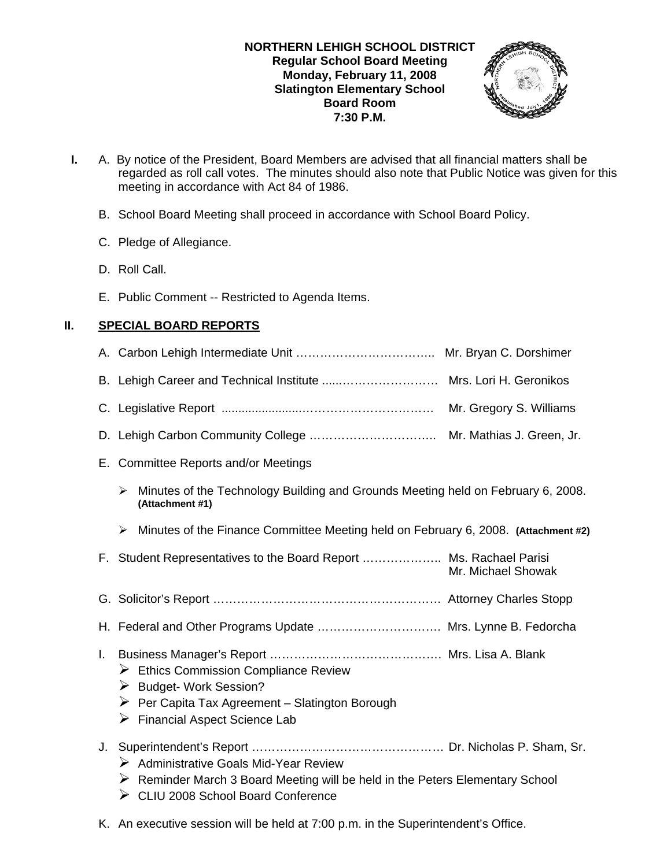### **NORTHERN LEHIGH SCHOOL DISTRICT Regular School Board Meeting Monday, February 11, 2008 Slatington Elementary School Board Room 7:30 P.M.**



- **I.** A. By notice of the President, Board Members are advised that all financial matters shall be regarded as roll call votes. The minutes should also note that Public Notice was given for this meeting in accordance with Act 84 of 1986.
	- B. School Board Meeting shall proceed in accordance with School Board Policy.
	- C. Pledge of Allegiance.
	- D. Roll Call.
	- E. Public Comment -- Restricted to Agenda Items.

# **II. SPECIAL BOARD REPORTS**

|    | Mr. Gregory S. Williams                                                                                                                                                                         |
|----|-------------------------------------------------------------------------------------------------------------------------------------------------------------------------------------------------|
|    |                                                                                                                                                                                                 |
|    | E. Committee Reports and/or Meetings                                                                                                                                                            |
|    | Minutes of the Technology Building and Grounds Meeting held on February 6, 2008.<br>➤<br>(Attachment #1)                                                                                        |
|    | Minutes of the Finance Committee Meeting held on February 6, 2008. (Attachment #2)<br>➤                                                                                                         |
|    | F. Student Representatives to the Board Report  Ms. Rachael Parisi<br>Mr. Michael Showak                                                                                                        |
|    |                                                                                                                                                                                                 |
|    | H. Federal and Other Programs Update  Mrs. Lynne B. Fedorcha                                                                                                                                    |
| L. | $\triangleright$ Ethics Commission Compliance Review<br>Budget-Work Session?<br>$\triangleright$ Per Capita Tax Agreement - Slatington Borough<br>$\triangleright$ Financial Aspect Science Lab |
| J. | $\triangleright$ Administrative Goals Mid-Year Review                                                                                                                                           |

K. An executive session will be held at 7:00 p.m. in the Superintendent's Office.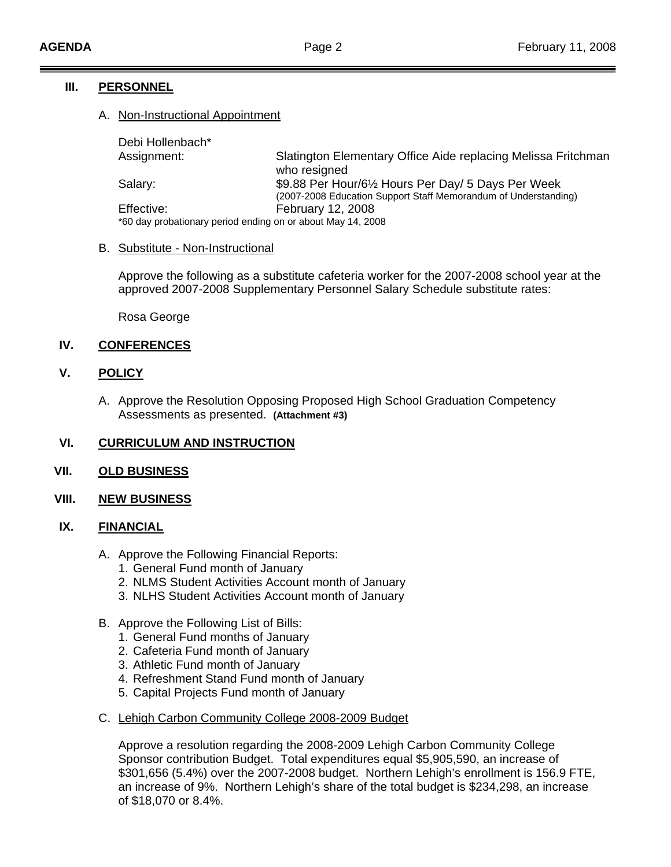### **III. PERSONNEL**

#### A. Non-Instructional Appointment

Debi Hollenbach\*

Assignment: Slatington Elementary Office Aide replacing Melissa Fritchman (2007-2008 Education Support Staff Memorandum of Understanding) \*60 day probationary period ending on or about May 14, 2008 who resigned Salary: **\$9.88 Per Hour/6½ Hours Per Day/ 5 Days Per Week** Effective: February 12, 2008

#### B. Substitute - Non-Instructional

Approve the following as a substitute cafeteria worker for the 2007-2008 school year at the approved 2007-2008 Supplementary Personnel Salary Schedule substitute rates:

Rosa George

## **IV.** CONFERENCES

### **V. POLICY**

A. Approve the Resolution Opposing Proposed High School Graduation Competency Assessments as presented. **(Attachment #3)** 

## **VI.** CURRICULUM AND INSTRUCTION

#### **VII. OLD BUSINESS**

#### **VIII. NEW BUSINESS**

#### **IX. FINANCIAL**

- A. Approve the Following Financial Reports:
	- 1. General Fund month of January
	- 2. NLMS Student Activities Account month of January
	- . NLHS Student Activities Account month of January 3
- B. Approve the Following List of Bills:
	- 1. General Fund months of January
	- 2. Cafeteria Fund month of January
	- 3. Athletic Fund month of January
	- 4. Refreshment Stand Fund month of January
	- 5. Capital Projects Fund month of January
- C. Lehigh Carbon Community College 2008-2009 Budget

an increase of 9%. Northern Lehigh's share of the total budget is \$234,298, an increase of \$18,070 or 8.4%. Approve a resolution regarding the 2008-2009 Lehigh Carbon Community College Sponsor contribution Budget. Total expenditures equal \$5,905,590, an increase of \$301,656 (5.4%) over the 2007-2008 budget. Northern Lehigh's enrollment is 156.9 FTE,